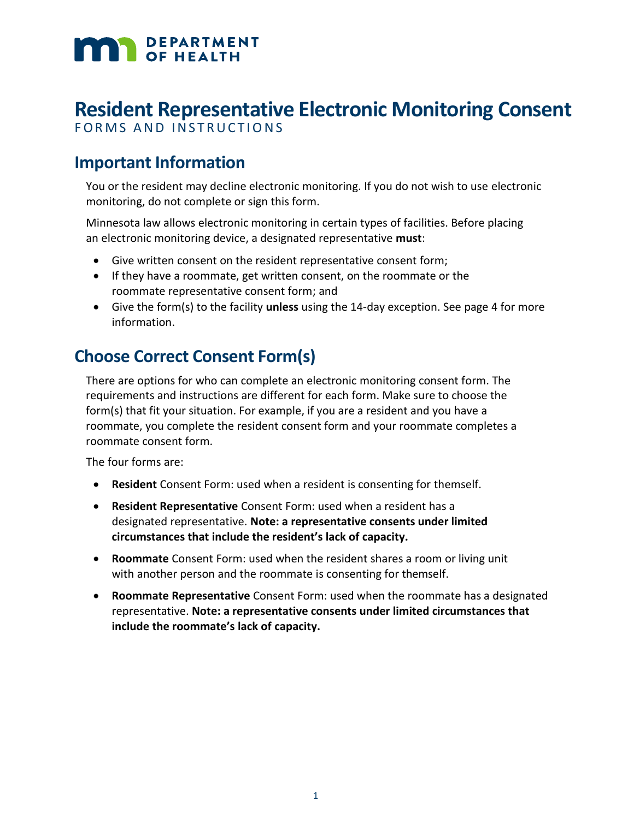# **MAN** DEPARTMENT

## **Resident Representative Electronic Monitoring Consent**

FORMS AND INSTRUCTIONS

## **Important Information**

You or the resident may decline electronic monitoring. If you do not wish to use electronic monitoring, do not complete or sign this form.

Minnesota law allows electronic monitoring in certain types of facilities. Before placing an electronic monitoring device, a designated representative **must**:

- Give written consent on the resident representative consent form;
- If they have a roommate, get written consent, on the roommate or the roommate representative consent form; and
- Give the form(s) to the facility **unless** using the 14-day exception. See page 4 for more information.

## **Choose Correct Consent Form(s)**

There are options for who can complete an electronic monitoring consent form. The requirements and instructions are different for each form. Make sure to choose the form(s) that fit your situation. For example, if you are a resident and you have a roommate, you complete the resident consent form and your roommate completes a roommate consent form.

The four forms are:

- **Resident** Consent Form: used when a resident is consenting for themself.
- **Resident Representative** Consent Form: used when a resident has a designated representative. **Note: a representative consents under limited circumstances that include the resident's lack of capacity.**
- **Roommate** Consent Form: used when the resident shares a room or living unit with another person and the roommate is consenting for themself.
- **Roommate Representative** Consent Form: used when the roommate has a designated representative. **Note: a representative consents under limited circumstances that include the roommate's lack of capacity.**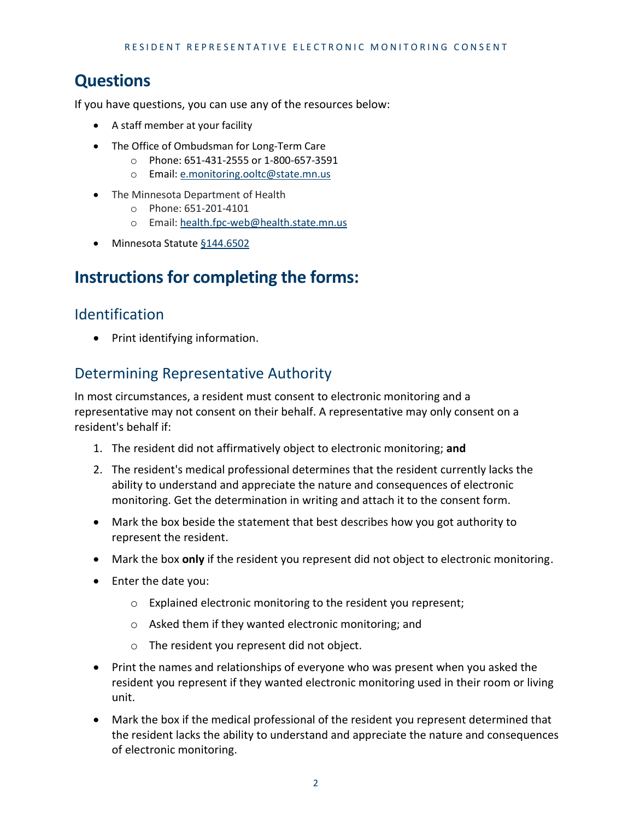## **Questions**

If you have questions, you can use any of the resources below:

- A staff member at your facility
- The Office of Ombudsman for Long-Term Care
	- o Phone: 651-431-2555 or 1-800-657-3591
	- o Email: [e.monitoring.ooltc@state.mn.us](mailto:e.monitoring.ooltc@state.mn.us)
- The Minnesota Department of Health
	- o Phone: 651-201-4101
	- o Email: [health.fpc-web@health.state.mn.us](mailto:health.fpc-web@health.state.mn.us)
- Minnesota Statute §144.6502

## **Instructions for completing the forms:**

#### Identification

• Print identifying information.

#### Determining Representative Authority

In most circumstances, a resident must consent to electronic monitoring and a representative may not consent on their behalf. A representative may only consent on a resident's behalf if:

- 1. The resident did not affirmatively object to electronic monitoring; **and**
- 2. The resident's medical professional determines that the resident currently lacks the ability to understand and appreciate the nature and consequences of electronic monitoring. Get the determination in writing and attach it to the consent form.
- Mark the box beside the statement that best describes how you got authority to represent the resident.
- Mark the box **only** if the resident you represent did not object to electronic monitoring.
- Enter the date you:
	- o Explained electronic monitoring to the resident you represent;
	- o Asked them if they wanted electronic monitoring; and
	- o The resident you represent did not object.
- Print the names and relationships of everyone who was present when you asked the resident you represent if they wanted electronic monitoring used in their room or living unit.
- Mark the box if the medical professional of the resident you represent determined that the resident lacks the ability to understand and appreciate the nature and consequences of electronic monitoring.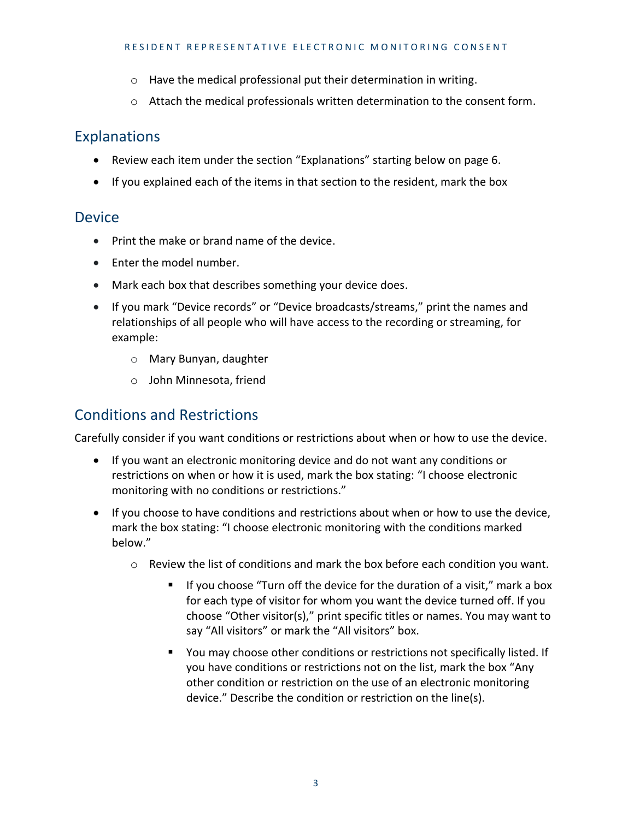#### RESIDENT REPRESENTATIVE ELECTRONIC MONITORING CONSENT

- o Have the medical professional put their determination in writing.
- $\circ$  Attach the medical professionals written determination to the consent form.

#### Explanations

- Review each item under the section "Explanations" starting below on page 6.
- If you explained each of the items in that section to the resident, mark the box

#### **Device**

- Print the make or brand name of the device.
- Enter the model number.
- Mark each box that describes something your device does.
- If you mark "Device records" or "Device broadcasts/streams," print the names and relationships of all people who will have access to the recording or streaming, for example:
	- o Mary Bunyan, daughter
	- o John Minnesota, friend

#### Conditions and Restrictions

Carefully consider if you want conditions or restrictions about when or how to use the device.

- If you want an electronic monitoring device and do not want any conditions or restrictions on when or how it is used, mark the box stating: "I choose electronic monitoring with no conditions or restrictions."
- If you choose to have conditions and restrictions about when or how to use the device, mark the box stating: "I choose electronic monitoring with the conditions marked below."
	- $\circ$  Review the list of conditions and mark the box before each condition you want.
		- **If you choose "Turn off the device for the duration of a visit," mark a box** for each type of visitor for whom you want the device turned off. If you choose "Other visitor(s)," print specific titles or names. You may want to say "All visitors" or mark the "All visitors" box.
		- You may choose other conditions or restrictions not specifically listed. If you have conditions or restrictions not on the list, mark the box "Any other condition or restriction on the use of an electronic monitoring device." Describe the condition or restriction on the line(s).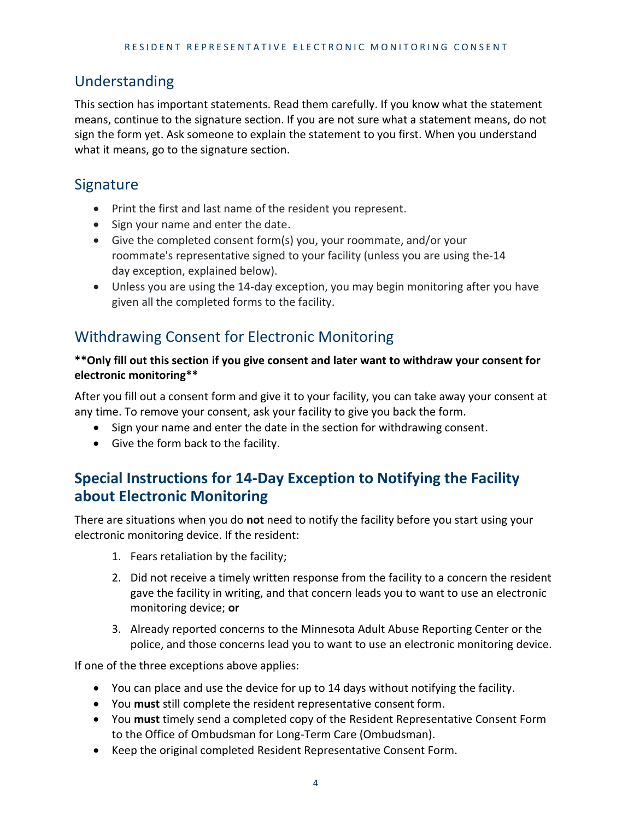#### Understanding

This section has important statements. Read them carefully. If you know what the statement means, continue to the signature section. If you are not sure what a statement means, do not sign the form yet. Ask someone to explain the statement to you first. When you understand what it means, go to the signature section.

#### Signature

- Print the first and last name of the resident you represent.
- Sign your name and enter the date.
- Give the completed consent form(s) you, your roommate, and/or your roommate's representative signed to your facility (unless you are using the-14 day exception, explained below).
- Unless you are using the 14-day exception, you may begin monitoring after you have given all the completed forms to the facility.

#### Withdrawing Consent for Electronic Monitoring

#### **\*\*Only fill out this section if you give consent and later want to withdraw your consent for electronic monitoring\*\***

After you fill out a consent form and give it to your facility, you can take away your consent at any time. To remove your consent, ask your facility to give you back the form.

- Sign your name and enter the date in the section for withdrawing consent.
- Give the form back to the facility.

#### **Special Instructions for 14-Day Exception to Notifying the Facility about Electronic Monitoring**

There are situations when you do **not** need to notify the facility before you start using your electronic monitoring device. If the resident:

- 1. Fears retaliation by the facility;
- 2. Did not receive a timely written response from the facility to a concern the resident gave the facility in writing, and that concern leads you to want to use an electronic monitoring device; **or**
- 3. Already reported concerns to the Minnesota Adult Abuse Reporting Center or the police, and those concerns lead you to want to use an electronic monitoring device.

If one of the three exceptions above applies:

- You can place and use the device for up to 14 days without notifying the facility.
- You **must** still complete the resident representative consent form.
- You **must** timely send a completed copy of the Resident Representative Consent Form to the Office of Ombudsman for Long-Term Care (Ombudsman).
- Keep the original completed Resident Representative Consent Form.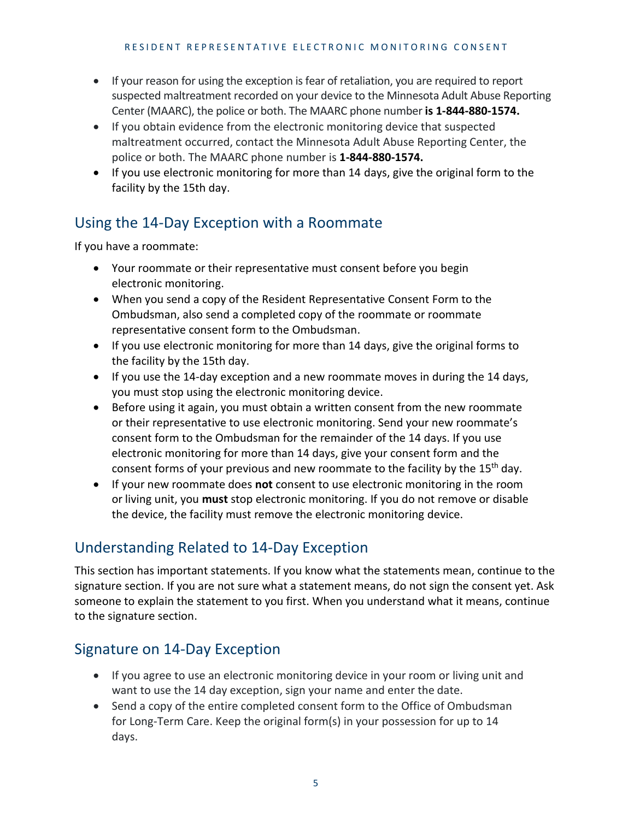- If your reason for using the exception is fear of retaliation, you are required to report suspected maltreatment recorded on your device to the Minnesota Adult Abuse Reporting Center (MAARC), the police or both. The MAARC phone number **is 1-844-880-1574.**
- If you obtain evidence from the electronic monitoring device that suspected maltreatment occurred, contact the Minnesota Adult Abuse Reporting Center, the police or both. The MAARC phone number is **1-844-880-1574.**
- If you use electronic monitoring for more than 14 days, give the original form to the facility by the 15th day.

#### Using the 14-Day Exception with a Roommate

If you have a roommate:

- Your roommate or their representative must consent before you begin electronic monitoring.
- When you send a copy of the Resident Representative Consent Form to the Ombudsman, also send a completed copy of the roommate or roommate representative consent form to the Ombudsman.
- If you use electronic monitoring for more than 14 days, give the original forms to the facility by the 15th day.
- If you use the 14-day exception and a new roommate moves in during the 14 days, you must stop using the electronic monitoring device.
- Before using it again, you must obtain a written consent from the new roommate or their representative to use electronic monitoring. Send your new roommate's consent form to the Ombudsman for the remainder of the 14 days. If you use electronic monitoring for more than 14 days, give your consent form and the consent forms of your previous and new roommate to the facility by the 15<sup>th</sup> day.
- If your new roommate does **not** consent to use electronic monitoring in the room or living unit, you **must** stop electronic monitoring. If you do not remove or disable the device, the facility must remove the electronic monitoring device.

#### Understanding Related to 14-Day Exception

This section has important statements. If you know what the statements mean, continue to the signature section. If you are not sure what a statement means, do not sign the consent yet. Ask someone to explain the statement to you first. When you understand what it means, continue to the signature section.

#### Signature on 14-Day Exception

- If you agree to use an electronic monitoring device in your room or living unit and want to use the 14 day exception, sign your name and enter the date.
- Send a copy of the entire completed consent form to the Office of Ombudsman for Long-Term Care. Keep the original form(s) in your possession for up to 14 days.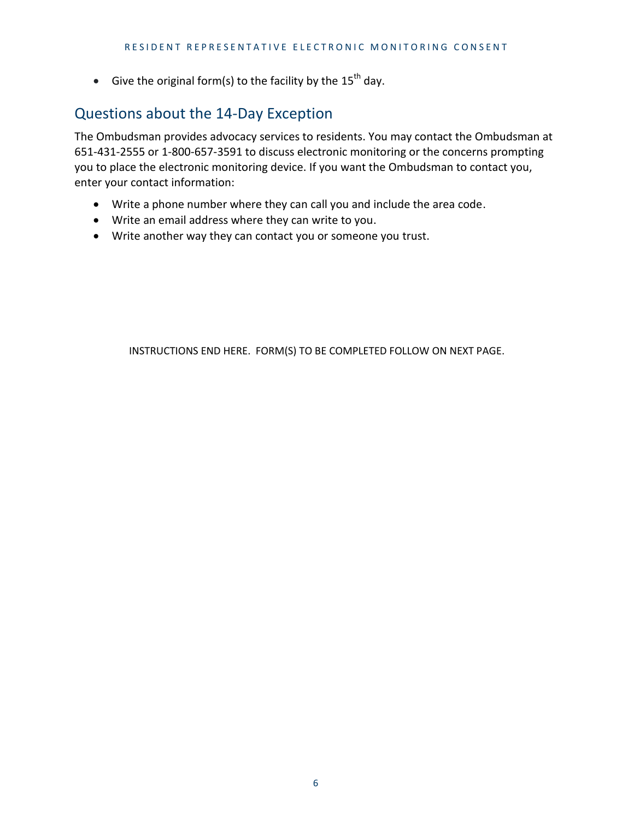Give the original form(s) to the facility by the  $15<sup>th</sup>$  day.

#### Questions about the 14-Day Exception

The Ombudsman provides advocacy services to residents. You may contact the Ombudsman at 651-431-2555 or 1-800-657-3591 to discuss electronic monitoring or the concerns prompting you to place the electronic monitoring device. If you want the Ombudsman to contact you, enter your contact information:

- Write a phone number where they can call you and include the area code.
- Write an email address where they can write to you.
- Write another way they can contact you or someone you trust.

INSTRUCTIONS END HERE. FORM(S) TO BE COMPLETED FOLLOW ON NEXT PAGE.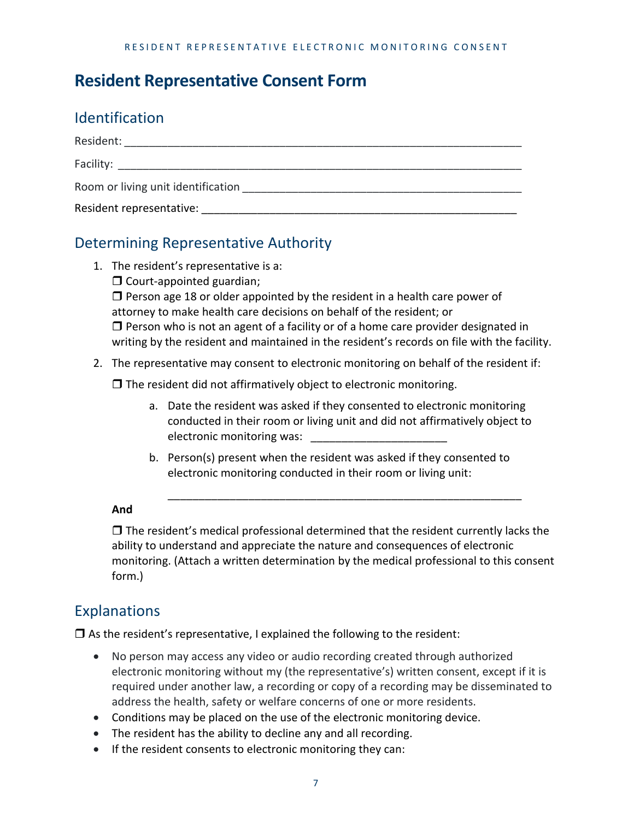## **Resident Representative Consent Form**

#### Identification

| Resident:                                                                                                                                                                                                                      |
|--------------------------------------------------------------------------------------------------------------------------------------------------------------------------------------------------------------------------------|
| Facility: The control of the control of the control of the control of the control of the control of the control of the control of the control of the control of the control of the control of the control of the control of th |
| Room or living unit identification                                                                                                                                                                                             |
| Resident representative:                                                                                                                                                                                                       |

### Determining Representative Authority

1. The resident's representative is a:  $\Box$  Court-appointed guardian;  $\Box$  Person age 18 or older appointed by the resident in a health care power of attorney to make health care decisions on behalf of the resident; or  $\Box$  Person who is not an agent of a facility or of a home care provider designated in writing by the resident and maintained in the resident's records on file with the facility.

#### 2. The representative may consent to electronic monitoring on behalf of the resident if:

 $\Box$  The resident did not affirmatively object to electronic monitoring.

a. Date the resident was asked if they consented to electronic monitoring conducted in their room or living unit and did not affirmatively object to electronic monitoring was:

\_\_\_\_\_\_\_\_\_\_\_\_\_\_\_\_\_\_\_\_\_\_\_\_\_\_\_\_\_\_\_\_\_\_\_\_\_\_\_\_\_\_\_\_\_\_\_\_\_\_\_\_\_\_\_\_\_

b. Person(s) present when the resident was asked if they consented to electronic monitoring conducted in their room or living unit:

#### **And**

 $\Box$  The resident's medical professional determined that the resident currently lacks the ability to understand and appreciate the nature and consequences of electronic monitoring. (Attach a written determination by the medical professional to this consent form.)

#### Explanations

 $\Box$  As the resident's representative, I explained the following to the resident:

- No person may access any video or audio recording created through authorized electronic monitoring without my (the representative's) written consent, except if it is required under another law, a recording or copy of a recording may be disseminated to address the health, safety or welfare concerns of one or more residents.
- Conditions may be placed on the use of the electronic monitoring device.
- The resident has the ability to decline any and all recording.
- If the resident consents to electronic monitoring they can: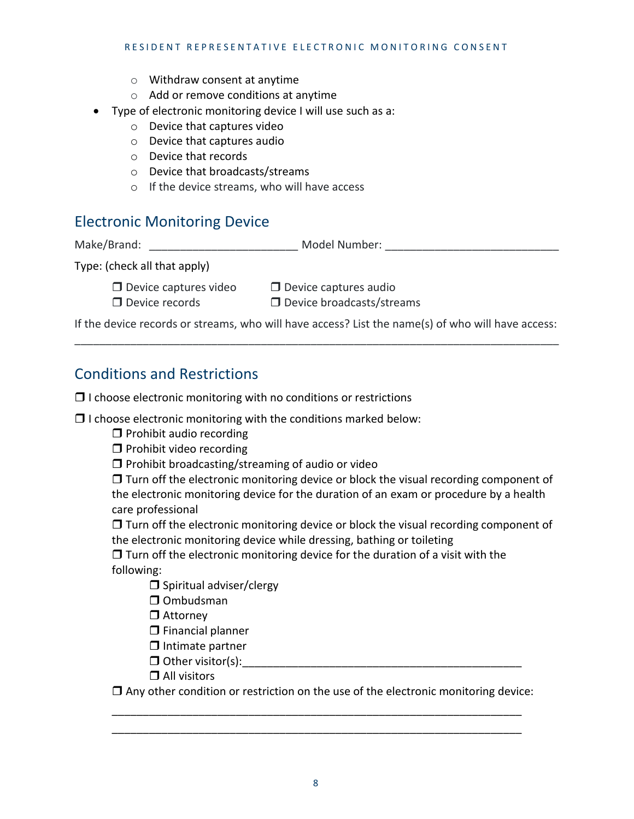#### RESIDENT REPRESENTATIVE ELECTRONIC MONITORING CONSENT

- o Withdraw consent at anytime
- o Add or remove conditions at anytime
- Type of electronic monitoring device I will use such as a:
	- o Device that captures video
	- o Device that captures audio
	- o Device that records
	- o Device that broadcasts/streams
	- o If the device streams, who will have access

#### Electronic Monitoring Device

| Make/Brand: | Model Number: |  |
|-------------|---------------|--|
|             |               |  |

Type: (check all that apply)

 $\Box$  Device captures video  $\Box$  Device captures audio

 $\Box$  Device records  $\Box$  Device broadcasts/streams

If the device records or streams, who will have access? List the name(s) of who will have access: \_\_\_\_\_\_\_\_\_\_\_\_\_\_\_\_\_\_\_\_\_\_\_\_\_\_\_\_\_\_\_\_\_\_\_\_\_\_\_\_\_\_\_\_\_\_\_\_\_\_\_\_\_\_\_\_\_\_\_\_\_\_\_\_\_\_\_\_\_\_\_\_\_\_\_\_\_\_

#### Conditions and Restrictions

 $\Box$  I choose electronic monitoring with no conditions or restrictions

 $\Box$  I choose electronic monitoring with the conditions marked below:

 $\Box$  Prohibit audio recording

 $\Box$  Prohibit video recording

 $\Box$  Prohibit broadcasting/streaming of audio or video

 $\Box$  Turn off the electronic monitoring device or block the visual recording component of the electronic monitoring device for the duration of an exam or procedure by a health care professional

 $\Box$  Turn off the electronic monitoring device or block the visual recording component of the electronic monitoring device while dressing, bathing or toileting

 $\Box$  Turn off the electronic monitoring device for the duration of a visit with the following:

- $\square$  Spiritual adviser/clergy
- □ Ombudsman

□ Attorney

 $\square$  Financial planner

 $\Box$  Intimate partner

 $\Box$  Other visitor(s):

□ All visitors

 $\Box$  Any other condition or restriction on the use of the electronic monitoring device:

\_\_\_\_\_\_\_\_\_\_\_\_\_\_\_\_\_\_\_\_\_\_\_\_\_\_\_\_\_\_\_\_\_\_\_\_\_\_\_\_\_\_\_\_\_\_\_\_\_\_\_\_\_\_\_\_\_\_\_\_\_\_\_\_\_\_ \_\_\_\_\_\_\_\_\_\_\_\_\_\_\_\_\_\_\_\_\_\_\_\_\_\_\_\_\_\_\_\_\_\_\_\_\_\_\_\_\_\_\_\_\_\_\_\_\_\_\_\_\_\_\_\_\_\_\_\_\_\_\_\_\_\_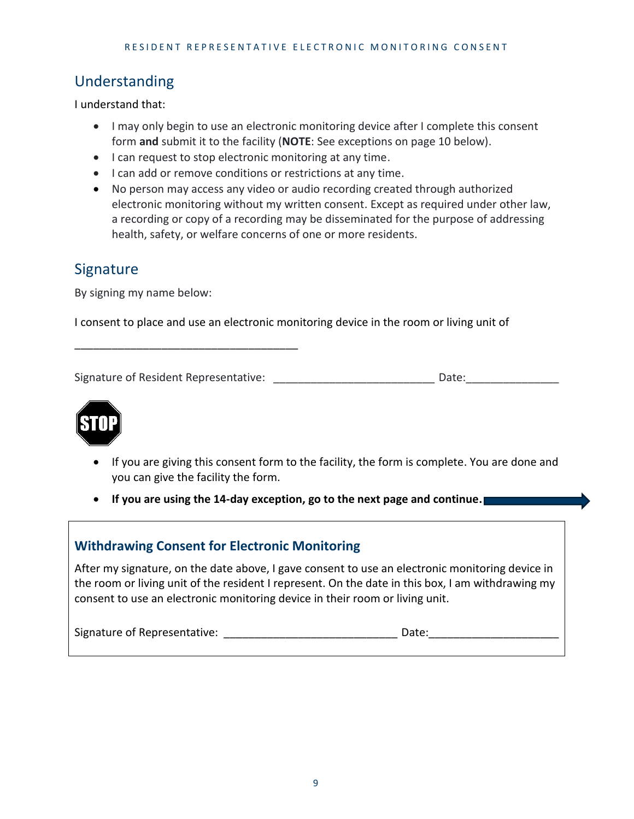#### Understanding

I understand that:

- I may only begin to use an electronic monitoring device after I complete this consent form **and** submit it to the facility (**NOTE**: See exceptions on page 10 below).
- I can request to stop electronic monitoring at any time.
- I can add or remove conditions or restrictions at any time.
- No person may access any video or audio recording created through authorized electronic monitoring without my written consent. Except as required under other law, a recording or copy of a recording may be disseminated for the purpose of addressing health, safety, or welfare concerns of one or more residents.

#### Signature

By signing my name below:

\_\_\_\_\_\_\_\_\_\_\_\_\_\_\_\_\_\_\_\_\_\_\_\_\_\_\_\_\_\_\_\_\_\_\_\_

I consent to place and use an electronic monitoring device in the room or living unit of

Signature of Resident Representative: example and the contract Date:



- If you are giving this consent form to the facility, the form is complete. You are done and you can give the facility the form.
- **If you are using the 14-day exception, go to the next page and continue.**

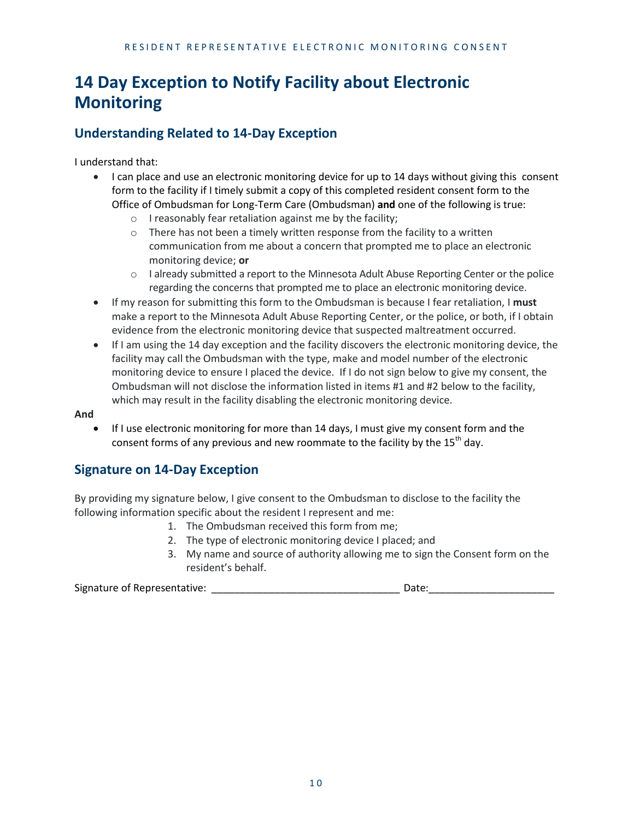## **14 Day Exception to Notify Facility about Electronic Monitoring**

#### **Understanding Related to 14-Day Exception**

I understand that:

- I can place and use an electronic monitoring device for up to 14 days without giving this consent form to the facility if I timely submit a copy of this completed resident consent form to the Office of Ombudsman for Long-Term Care (Ombudsman) **and** one of the following is true:
	- o I reasonably fear retaliation against me by the facility;
	- o There has not been a timely written response from the facility to a written communication from me about a concern that prompted me to place an electronic monitoring device; **or**
	- $\circ$  I already submitted a report to the Minnesota Adult Abuse Reporting Center or the police regarding the concerns that prompted me to place an electronic monitoring device.
- If my reason for submitting this form to the Ombudsman is because I fear retaliation, I **must** make a report to the Minnesota Adult Abuse Reporting Center, or the police, or both, if I obtain evidence from the electronic monitoring device that suspected maltreatment occurred.
- If I am using the 14 day exception and the facility discovers the electronic monitoring device, the facility may call the Ombudsman with the type, make and model number of the electronic monitoring device to ensure I placed the device. If I do not sign below to give my consent, the Ombudsman will not disclose the information listed in items #1 and #2 below to the facility, which may result in the facility disabling the electronic monitoring device.

#### **And**

 If I use electronic monitoring for more than 14 days, I must give my consent form and the consent forms of any previous and new roommate to the facility by the  $15<sup>th</sup>$  day.

#### **Signature on 14-Day Exception**

By providing my signature below, I give consent to the Ombudsman to disclose to the facility the following information specific about the resident I represent and me:

- 1. The Ombudsman received this form from me;
- 2. The type of electronic monitoring device I placed; and
- 3. My name and source of authority allowing me to sign the Consent form on the resident's behalf.

Signature of Representative: \_\_\_\_\_\_\_\_\_\_\_\_\_\_\_\_\_\_\_\_\_\_\_\_\_\_\_\_\_\_\_\_\_ Date:\_\_\_\_\_\_\_\_\_\_\_\_\_\_\_\_\_\_\_\_\_\_